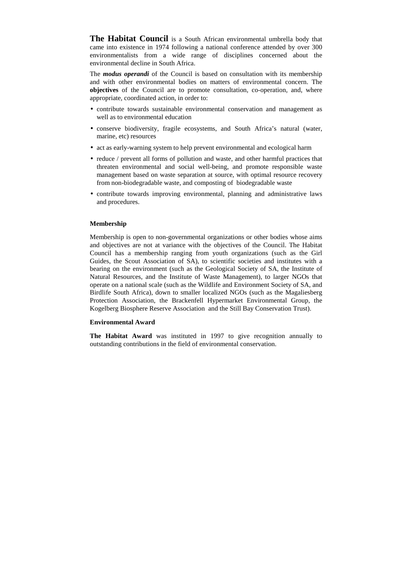**The Habitat Council** is a South African environmental umbrella body that came into existence in 1974 following a national conference attended by over 300 environmentalists from a wide range of disciplines concerned about the environmental decline in South Africa.

The *modus operandi* of the Council is based on consultation with its membership and with other environmental bodies on matters of environmental concern. The **objectives** of the Council are to promote consultation, co-operation, and, where appropriate, coordinated action, in order to:

- contribute towards sustainable environmental conservation and management as well as to environmental education
- conserve biodiversity, fragile ecosystems, and South Africa's natural (water, marine, etc) resources
- act as early-warning system to help prevent environmental and ecological harm
- reduce / prevent all forms of pollution and waste, and other harmful practices that threaten environmental and social well-being, and promote responsible waste management based on waste separation at source, with optimal resource recovery from non-biodegradable waste, and composting of biodegradable waste
- contribute towards improving environmental, planning and administrative laws and procedures.

## **Membership**

Membership is open to non-governmental organizations or other bodies whose aims and objectives are not at variance with the objectives of the Council. The Habitat Council has a membership ranging from youth organizations (such as the Girl Guides, the Scout Association of SA), to scientific societies and institutes with a bearing on the environment (such as the Geological Society of SA, the Institute of Natural Resources, and the Institute of Waste Management), to larger NGOs that operate on a national scale (such as the Wildlife and Environment Society of SA, and Birdlife South Africa), down to smaller localized NGOs (such as the Magaliesberg Protection Association, the Brackenfell Hypermarket Environmental Group, the Kogelberg Biosphere Reserve Association and the Still Bay Conservation Trust).

## **Environmental Award**

**The Habitat Award** was instituted in 1997 to give recognition annually to outstanding contributions in the field of environmental conservation.